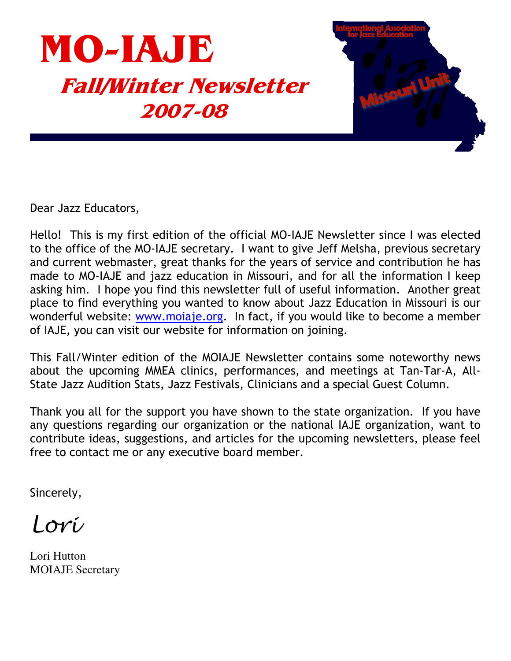

Dear Jazz Educators,

Hello! This is my first edition of the official MO-IAJE Newsletter since I was elected to the office of the MO-IAJE secretary. I want to give Jeff Melsha, previous secretary and current webmaster, great thanks for the years of service and contribution he has made to MO-IAJE and jazz education in Missouri, and for all the information I keep asking him. I hope you find this newsletter full of useful information. Another great place to find everything you wanted to know about Jazz Education in Missouri is our wonderful website: www.mojaje.org. In fact, if you would like to become a member of IAJE, you can visit our website for information on joining.

This Fall/Winter edition of the MOIAJE Newsletter contains some noteworthy news about the upcoming MMEA clinics, performances, and meetings at Tan-Tar-A, All-State Jazz Audition Stats, Jazz Festivals, Clinicians and a special Guest Column.

Thank you all for the support you have shown to the state organization. If you have any questions regarding our organization or the national IAJE organization, want to contribute ideas, suggestions, and articles for the upcoming newsletters, please feel free to contact me or any executive board member.

Sincerely,

Lori

Lori Hutton **MOIAJE Secretary**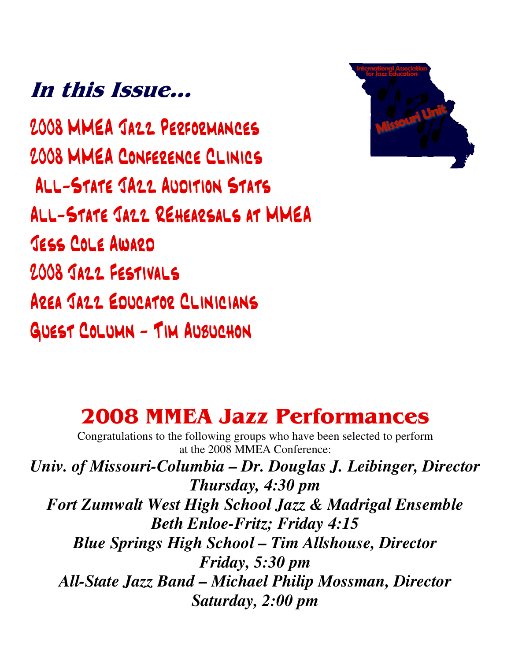# In this Issue...

2008 MMEA JA22 PERFORMANCES 2008 MMEA CONFERENCE CLINICS ALL-STATE JA22 AUDITION STATS ALL-STATE JA22 REHEARSALS AT MMEA **JESS COLE AWARD** 2008 JA22 FESTIVALS AREA JAZZ EDUCATOR CLINICIANS GUEST COLUMN - TIM AUBUCHON



## **2008 MMEA Jazz Performances**

Congratulations to the following groups who have been selected to perform at the 2008 MMEA Conference:

*Univ. of Missouri-Columbia – Dr. Douglas J. Leibinger, Director Thursday, 4:30 pm Fort Zumwalt West High School Jazz & Madrigal Ensemble Beth Enloe-Fritz; Friday 4:15 Blue Springs High School – Tim Allshouse, Director Friday, 5:30 pm All-State Jazz Band – Michael Philip Mossman, Director Saturday, 2:00 pm*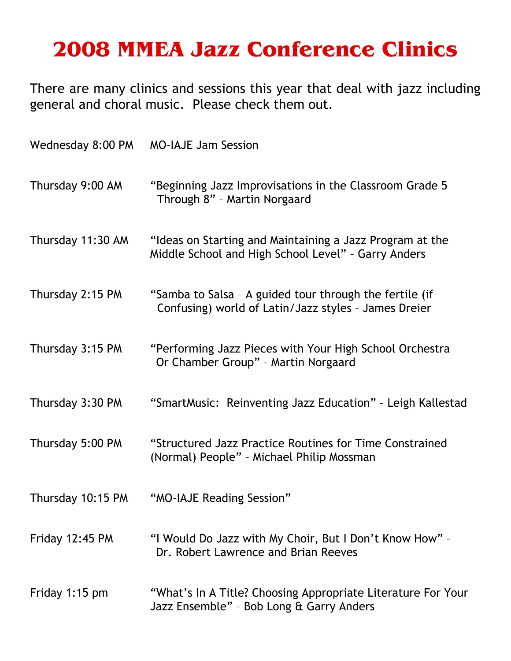# **2008 MMEA Jazz Conference Clinics**

There are many clinics and sessions this year that deal with jazz including general and choral music. Please check them out.

| Wednesday 8:00 PM | <b>MO-IAJE Jam Session</b>                                                                                      |
|-------------------|-----------------------------------------------------------------------------------------------------------------|
| Thursday 9:00 AM  | "Beginning Jazz Improvisations in the Classroom Grade 5<br>Through 8" - Martin Norgaard                         |
| Thursday 11:30 AM | "Ideas on Starting and Maintaining a Jazz Program at the<br>Middle School and High School Level" - Garry Anders |
| Thursday 2:15 PM  | "Samba to Salsa - A guided tour through the fertile (if<br>Confusing) world of Latin/Jazz styles - James Dreier |
| Thursday 3:15 PM  | "Performing Jazz Pieces with Your High School Orchestra<br>Or Chamber Group" - Martin Norgaard                  |
| Thursday 3:30 PM  | "SmartMusic: Reinventing Jazz Education" - Leigh Kallestad                                                      |
| Thursday 5:00 PM  | "Structured Jazz Practice Routines for Time Constrained<br>(Normal) People" - Michael Philip Mossman            |
| Thursday 10:15 PM | "MO-IAJE Reading Session"                                                                                       |
| Friday $12:45$ PM | "I Would Do Jazz with My Choir, But I Don't Know How" -<br>Dr. Robert Lawrence and Brian Reeves                 |
| Friday 1:15 pm    | "What's In A Title? Choosing Appropriate Literature For Your<br>Jazz Ensemble" - Bob Long & Garry Anders        |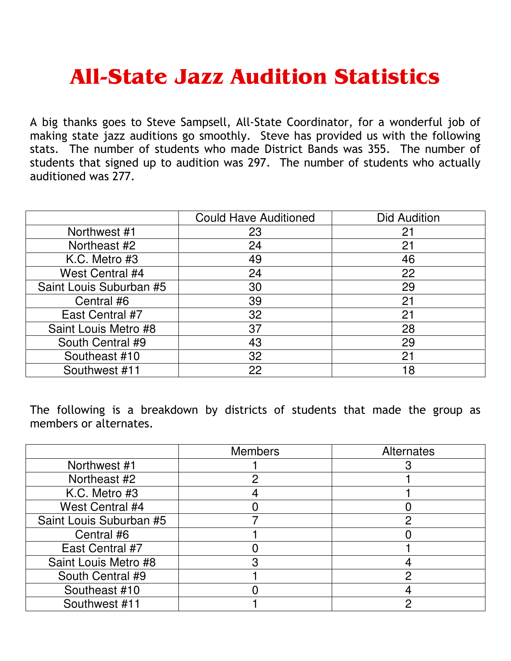# **All-State Jazz Audition Statistics**

A big thanks goes to Steve Sampsell, All-State Coordinator, for a wonderful job of making state jazz auditions go smoothly. Steve has provided us with the following stats. The number of students who made District Bands was 355. The number of students that signed up to audition was 297. The number of students who actually auditioned was 277.

|                         | <b>Could Have Auditioned</b> | <b>Did Audition</b> |
|-------------------------|------------------------------|---------------------|
| Northwest #1            | 23                           | 21                  |
| Northeast #2            | 24                           | 21                  |
| K.C. Metro #3           | 49                           | 46                  |
| West Central #4         | 24                           | 22                  |
| Saint Louis Suburban #5 | 30                           | 29                  |
| Central #6              | 39                           | 21                  |
| East Central #7         | 32                           | 21                  |
| Saint Louis Metro #8    | 37                           | 28                  |
| South Central #9        | 43                           | 29                  |
| Southeast #10           | 32                           | 21                  |
| Southwest #11           | 22                           | 18                  |

The following is a breakdown by districts of students that made the group as members or alternates.

|                         | <b>Members</b> | Alternates |
|-------------------------|----------------|------------|
| Northwest #1            |                |            |
| Northeast #2            |                |            |
| K.C. Metro #3           |                |            |
| West Central #4         |                |            |
| Saint Louis Suburban #5 |                |            |
| Central #6              |                |            |
| East Central #7         |                |            |
| Saint Louis Metro #8    |                |            |
| South Central #9        |                |            |
| Southeast #10           |                |            |
| Southwest #11           |                |            |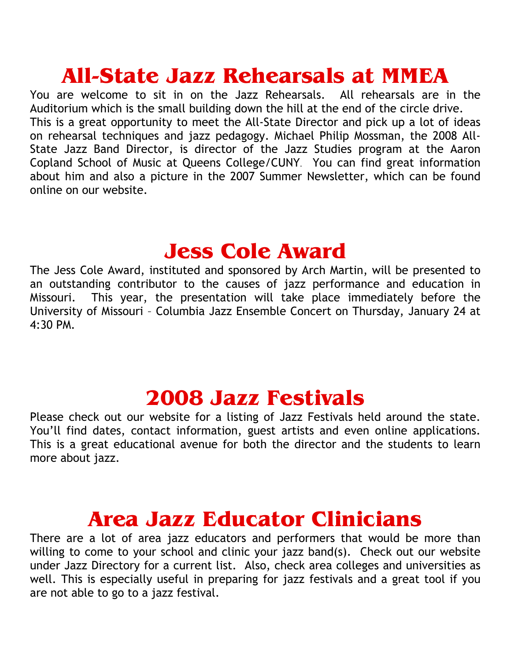# **All-State Jazz Rehearsals at MMEA**

You are welcome to sit in on the Jazz Rehearsals. All rehearsals are in the Auditorium which is the small building down the hill at the end of the circle drive. This is a great opportunity to meet the All-State Director and pick up a lot of ideas on rehearsal techniques and jazz pedagogy. Michael Philip Mossman, the 2008 All-State Jazz Band Director, is director of the Jazz Studies program at the Aaron Copland School of Music at Queens College/CUNY. You can find great information about him and also a picture in the 2007 Summer Newsletter, which can be found online on our website.

#### **Jess Cole Award**

The Jess Cole Award, instituted and sponsored by Arch Martin, will be presented to an outstanding contributor to the causes of jazz performance and education in This year, the presentation will take place immediately before the Missouri. University of Missouri - Columbia Jazz Ensemble Concert on Thursday, January 24 at  $4:30 P.$ 

#### **2008 Jazz Festivals**

Please check out our website for a listing of Jazz Festivals held around the state. You'll find dates, contact information, guest artists and even online applications. This is a great educational avenue for both the director and the students to learn more about jazz.

### **Area Jazz Educator Clinicians**

There are a lot of area jazz educators and performers that would be more than willing to come to your school and clinic your jazz band(s). Check out our website under Jazz Directory for a current list. Also, check area colleges and universities as well. This is especially useful in preparing for jazz festivals and a great tool if you are not able to go to a jazz festival.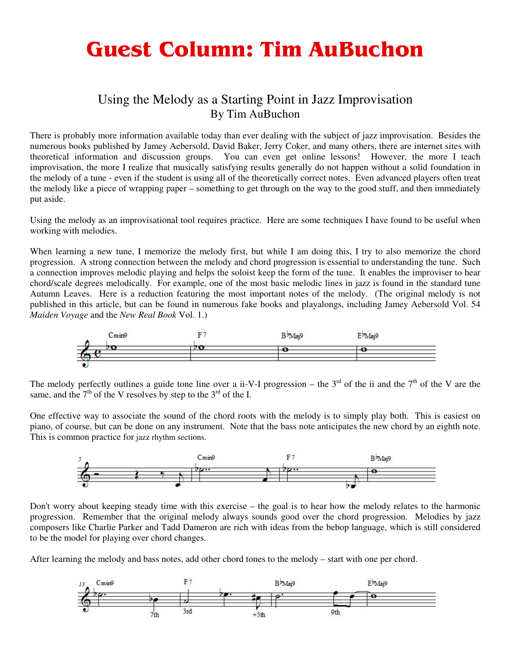# **Guest Column: Tim AuBuchon**

#### Using the Melody as a Starting Point in Jazz Improvisation By Tim AuBuchon

There is probably more information available today than ever dealing with the subject of jazz improvisation. Besides the numerous books published by Jamey Aebersold, David Baker, Jerry Coker, and many others, there are internet sites with theoretical information and discussion groups. You can even get online lessons! However, the more I teach improvisation, the more I realize that musically satisfying results generally do not happen without a solid foundation in the melody of a tune - even if the student is using all of the theoretically correct notes. Even advanced players often treat the melody like a piece of wrapping paper – something to get through on the way to the good stuff, and then immediately put aside.

Using the melody as an improvisational tool requires practice. Here are some techniques I have found to be useful when working with melodies.

When learning a new tune, I memorize the melody first, but while I am doing this, I try to also memorize the chord progression. A strong connection between the melody and chord progression is essential to understanding the tune. Such a connection improves melodic playing and helps the soloist keep the form of the tune. It enables the improviser to hear chord/scale degrees melodically. For example, one of the most basic melodic lines in jazz is found in the standard tune Autumn Leaves. Here is a reduction featuring the most important notes of the melody. (The original melody is not published in this article, but can be found in numerous fake books and playalongs, including Jamey Aebersold Vol. 54 *Maiden Voyage* and the *New Real Book* Vol. 1.)



The melody perfectly outlines a guide tone line over a ii-V-I progression – the  $3<sup>rd</sup>$  of the ii and the  $7<sup>th</sup>$  of the V are the same, and the  $7<sup>th</sup>$  of the V resolves by step to the  $3<sup>rd</sup>$  of the I.

One effective way to associate the sound of the chord roots with the melody is to simply play both. This is easiest on piano, of course, but can be done on any instrument. Note that the bass note anticipates the new chord by an eighth note. This is common practice for jazz rhythm sections.



Don't worry about keeping steady time with this exercise – the goal is to hear how the melody relates to the harmonic progression. Remember that the original melody always sounds good over the chord progression. Melodies by jazz composers like Charlie Parker and Tadd Dameron are rich with ideas from the bebop language, which is still considered to be the model for playing over chord changes.

After learning the melody and bass notes, add other chord tones to the melody – start with one per chord.